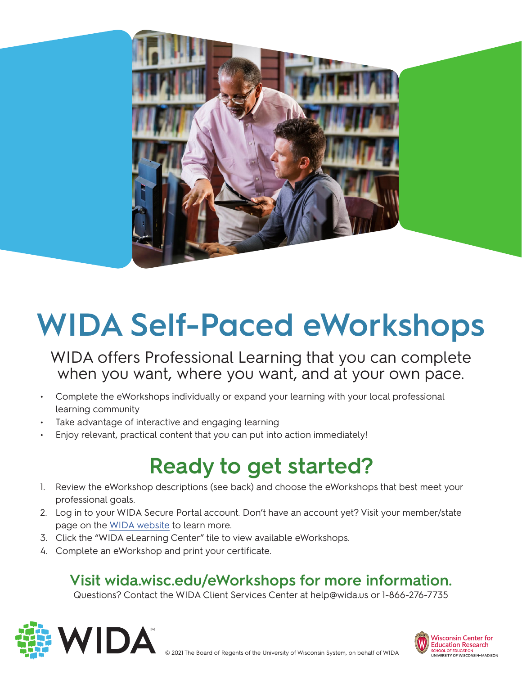

# **WIDA Self-Paced eWorkshops**

WIDA offers Professional Learning that you can complete when you want, where you want, and at your own pace.

- Complete the eWorkshops individually or expand your learning with your local professional learning community
- Take advantage of interactive and engaging learning
- Enjoy relevant, practical content that you can put into action immediately!

## **Ready to get started?**

- 1. Review the eWorkshop descriptions (see back) and choose the eWorkshops that best meet your professional goals.
- 2. Log in to your WIDA Secure Portal account. Don't have an account yet? Visit your member/state page on the [WIDA website](http://wida.wisc.edu) to learn more.
- 3. Click the "WIDA eLearning Center" tile to view available eWorkshops.
- 4. Complete an eWorkshop and print your certificate.

### **Visit wida.wisc.edu/eWorkshops for more information.**

Questions? Contact the WIDA Client Services Center at help@wida.us or 1-866-276-7735